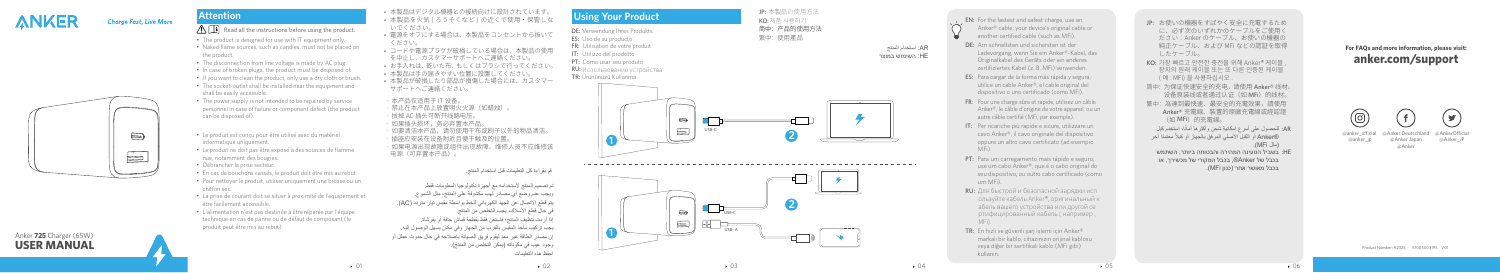

#### **Charge Fast, Live More**

**USER MANUAL** Anker **725** Charger (65W)

01 01 02  $\rightarrow$  02 03  $\rightarrow$  03

# **Attention**

### $\bigwedge \prod$  Read all the instructions before using the product.

- The product is designed for use with IT equipment only.
- Naked flame sources, such as candles, must not be placed on the product.
- The disconnection from line voltage is made by AC plug.
- In case of broken plugs, the product must be disposed of.
- If you want to clean the product, only use a dry cloth or brush. • The socket-outlet shall be installed near the equipment and shall be easily accessible.
- The power supply is not intended to be repaired by service personnel in case of failure or component defect (the product can be disposed of).
- Le produit est conçu pour être utilisé avec du matériel informatique uniquement.
- Le produit ne doit pas être exposé à des sources de flamme nue, notamment des bougies.
- Débrancher la prise secteur.
- En cas de bouchons cassés, le produit doit être mis au rebut.
- Pour nettoyer le produit, utiliser uniquement une brosse ou un chiffon sec.
- La prise de courant doit se situer à proximité de l'équipement et être facilement accessible.
- L'alimentation n'est pas destinée à être réparée par l'équipe technique en cas de panne ou de défaut de composant (le produit peut être mis au rebut).
- • 本製品はデジタル機器との接続向けに設計されています。
- 本製品を火気 ( ろうそくなど ) の近くで使用・保管しな いでください。
- • 電源をオフにする場合は、本製品をコンセントから抜いて ください。
- • コードや電源プラグが破損している場合は、本製品の使用 を中止し、カスタマーサポートへご連絡ください。
- お手入れは、乾いた布、もしくはブラシで行ってください。
- • 本製品は手の届きやすい位置に設置してください。
- • 本製品が破損したり部品が損傷した場合には、カスタマー サポートへご連絡ください。
- • 本产品仅适用于 IT 设备。
- • 禁止在本产品上放置明火火源(如蜡烛)。
- · 拔掉 AC 插头可断开线路电压。
- • 如果插头损坏,务必弃置本产品。
- • 如要清洁本产品,请勿使用干布或刷子以外的物品清洁。
- 插座应安装在设备附近且便于触及的位置。
- • 如果电源出现故障或组件出现故障,维修人员不应维修该 电源(可并直本产品)。

قم بقراءة كل التعليمات قبل استخدام المنتج.

تم تصميم المنتج الستخدامه مع أجهزة تكنولوجيا المعلومات فقط. ويجب عدم وضع أي مصادر لهب مكشوفة على المنتج، مثل الشموع. يتم قطع االتصال عن الجهد الكهربائي للخط بواسطة مقبس تيار متردد )AC). في حال قطع األسالك، يجب التخلص من المنتج. إذا أردت تنظيف المنتج؛ فاستعن فقط بقطعة قماش جافة أو بفرشاة. يجب تركيب مأخذ المقبس بالقرب من الجهاز وفي مكان يسهل الوصول إليه. إن مصدر الطاقة غير معد ليقوم فريق الصيانة بإصالحه في حال حدوث عطل أو وجود عيب في مكوّناته (يمكن التخلص من المنتج). احفظ هذه التعليمات

@Anker Deutschland @anker\_ocial @anker\_ip

@AnkerOfficial









- EN: For the fastest and safest charge, use an Anker® cable, your device's original cable or another certified cable (such as MFi).
- DE: Am schnellsten und sichersten ist der Ladevorgang, wenn Sie ein Anker®-Kabel, das Originalkabel des Geräts oder ein anderes zertifiziertes Kabel (z. B. MFi) verwenden.
- ES: Para cargar de la forma más rápida y segura, utilice un cable Anker®, el cable original del dispositivo o uno certificado (como MFi).
- FR : Pour une charge sûre et rapide, utilisez un câble Anker®, le câble d'origine de votre appareil, ou un autre câble certifié (MFi, par exemple).
- IT: Per ricariche più rapide e sicure, utilizzare un cavo Anker®, il cavo originale del dispositivo oppure un altro cavo certificato (ad esempio MFi).
- PT: Para um carregamento mais rápido e seguro, use um cabo Anker®, que é o cabo original do seu dispositivo, ou outro cabo certificado (como um MFi).
- RU: Для быстрой и безопасной зарядки исп ользуйте кабель Anker®, оригинальный к абель вашего устройства или другой се ртифицированный кабель ( например , MFi).
- TR: En hızlı ve güvenli sarj islemi için Anker® markalı bir kablo, cihazınızın orijinal kablosu veya diğer bir sertifikalı kablo (MFi gibi) kullanın.
- JP: お使いの機器をすばやく安全に充電するため に、必ず次のいずれかのケーブルをご使用く ださい:Anker のケーブル、お使いの機器の 純正ケーブル、および MFi などの認証を取得 したケーブル。
- KO: 가장 빠르고 안전한 충전을 위해 Anker® 케이블 장치의 원래 케이블 또는 또 다른 인증된 케이블 ( 예 : MFi) 을 사용하십시오 .
- 简中:为保证快速安全的充电,请使用 Anker® 线材、 设备原装线或者通过认证(如 MFi)的线材。
- 繁中:為達到最快速、最安全的充電效果,請使用 Anker® 充電線、裝置的原廠充電線或經認證 (如 MFi)的充電線。
- AR: للحصول على اسرع إمكانية شحن واكثر ها امانا، استخدم كبل ً ً معتمدا آخر RAnker أو الكبل األصلي المرفق بالجهاز أو كبال ً )مثل MFi).
- בשביל הטעינה המהירה והבטוחה ביותר, השתמש :HE בכבל של Anker®, בכבל המקורי של מכשירך, או בכבל מאושר אחר )כגון MFi).

Product Number: A2325 51005003195 V01

## **For FAQs and mo re in formation, please visit: an k e r. com /suppo r t**





@Anker Japan @Anker

@Anker\_JP